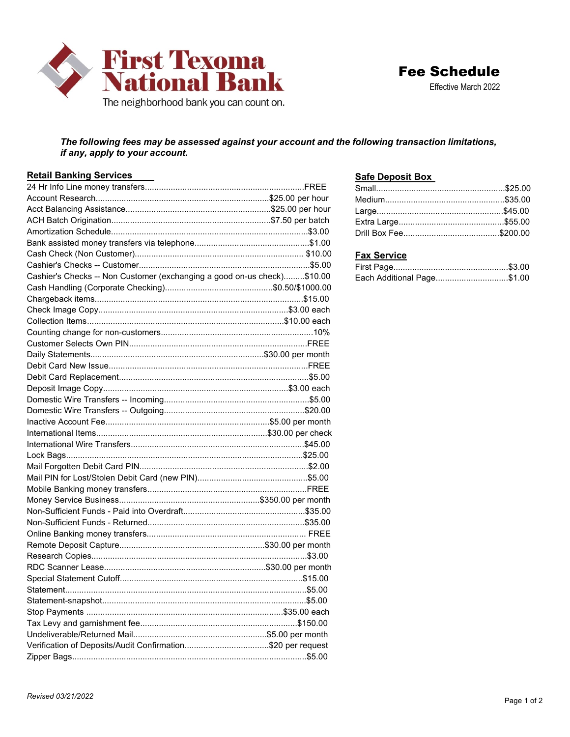

## The following fees may be assessed against your account and the following transaction limitations, if any, apply to your account.

| <b>Retail Banking Services</b>                                          | <b>Safe Deposit Box</b> |
|-------------------------------------------------------------------------|-------------------------|
|                                                                         |                         |
|                                                                         |                         |
|                                                                         |                         |
|                                                                         |                         |
|                                                                         |                         |
|                                                                         |                         |
|                                                                         | <b>Fax Service</b>      |
|                                                                         |                         |
| Cashier's Checks -- Non Customer (exchanging a good on-us check)\$10.00 | Each Additional Page    |
|                                                                         |                         |
|                                                                         |                         |
|                                                                         |                         |
|                                                                         |                         |
|                                                                         |                         |
|                                                                         |                         |
|                                                                         |                         |
|                                                                         |                         |
|                                                                         |                         |
|                                                                         |                         |
|                                                                         |                         |
|                                                                         |                         |
|                                                                         |                         |
|                                                                         |                         |
|                                                                         |                         |
|                                                                         |                         |
|                                                                         |                         |
|                                                                         |                         |
|                                                                         |                         |
|                                                                         |                         |
|                                                                         |                         |
|                                                                         |                         |
|                                                                         |                         |
|                                                                         |                         |
|                                                                         |                         |
|                                                                         |                         |
|                                                                         |                         |
|                                                                         |                         |
|                                                                         |                         |
|                                                                         |                         |
|                                                                         |                         |
|                                                                         |                         |
| Verification of Deposits/Audit Confirmation\$20 per request             |                         |
|                                                                         |                         |

## Safe Deposit Box

## **Fax Service**

| <b>Fax Service</b>         |  |
|----------------------------|--|
|                            |  |
| Each Additional Page\$1.00 |  |